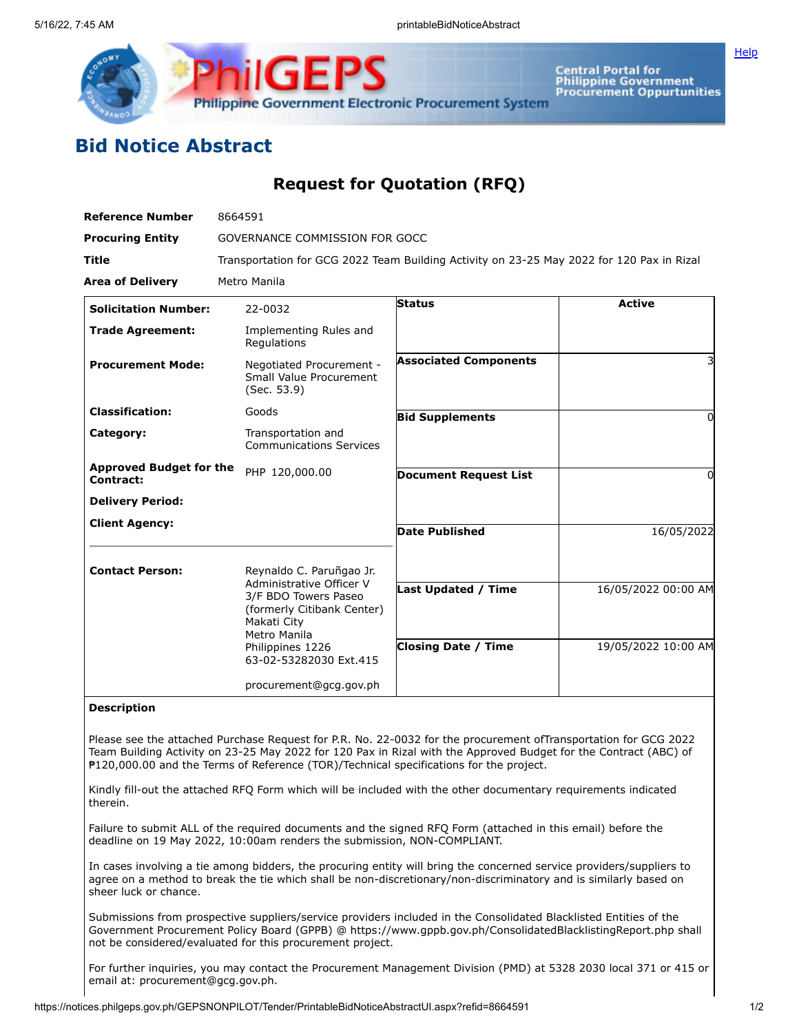

Central Portal for<br>Philippine Government<br>Procurement Oppurtunities

## **Bid Notice Abstract**

## **Request for Quotation (RFQ)**

| <b>Reference Number</b>                     | 8664591                                                                                                                                                                                 |                                                          |                                            |
|---------------------------------------------|-----------------------------------------------------------------------------------------------------------------------------------------------------------------------------------------|----------------------------------------------------------|--------------------------------------------|
| <b>Procuring Entity</b>                     | GOVERNANCE COMMISSION FOR GOCC                                                                                                                                                          |                                                          |                                            |
| <b>Title</b>                                | Transportation for GCG 2022 Team Building Activity on 23-25 May 2022 for 120 Pax in Rizal                                                                                               |                                                          |                                            |
| <b>Area of Delivery</b>                     | Metro Manila                                                                                                                                                                            |                                                          |                                            |
| <b>Solicitation Number:</b>                 | 22-0032                                                                                                                                                                                 | <b>Status</b>                                            | <b>Active</b>                              |
| <b>Trade Agreement:</b>                     | Implementing Rules and<br>Regulations                                                                                                                                                   |                                                          |                                            |
| <b>Procurement Mode:</b>                    | Negotiated Procurement -<br>Small Value Procurement<br>(Sec. 53.9)                                                                                                                      | <b>Associated Components</b>                             |                                            |
| <b>Classification:</b>                      | Goods                                                                                                                                                                                   | <b>Bid Supplements</b>                                   | $\Omega$                                   |
| Category:                                   | Transportation and<br><b>Communications Services</b>                                                                                                                                    |                                                          |                                            |
| <b>Approved Budget for the</b><br>Contract: | PHP 120,000.00                                                                                                                                                                          | <b>Document Request List</b>                             | 0                                          |
| <b>Delivery Period:</b>                     |                                                                                                                                                                                         |                                                          |                                            |
| <b>Client Agency:</b>                       |                                                                                                                                                                                         | <b>Date Published</b>                                    | 16/05/2022                                 |
| <b>Contact Person:</b>                      | Reynaldo C. Paruñgao Jr.<br>Administrative Officer V<br>3/F BDO Towers Paseo<br>(formerly Citibank Center)<br>Makati City<br>Metro Manila<br>Philippines 1226<br>63-02-53282030 Ext.415 | <b>Last Updated / Time</b><br><b>Closing Date / Time</b> | 16/05/2022 00:00 AM<br>19/05/2022 10:00 AM |
|                                             | procurement@gcg.gov.ph                                                                                                                                                                  |                                                          |                                            |

## **Description**

Please see the attached Purchase Request for P.R. No. 22-0032 for the procurement ofTransportation for GCG 2022 Team Building Activity on 23-25 May 2022 for 120 Pax in Rizal with the Approved Budget for the Contract (ABC) of ₱120,000.00 and the Terms of Reference (TOR)/Technical specifications for the project.

Kindly fill-out the attached RFQ Form which will be included with the other documentary requirements indicated therein.

Failure to submit ALL of the required documents and the signed RFQ Form (attached in this email) before the deadline on 19 May 2022, 10:00am renders the submission, NON-COMPLIANT.

In cases involving a tie among bidders, the procuring entity will bring the concerned service providers/suppliers to agree on a method to break the tie which shall be non-discretionary/non-discriminatory and is similarly based on sheer luck or chance.

Submissions from prospective suppliers/service providers included in the Consolidated Blacklisted Entities of the Government Procurement Policy Board (GPPB) @ https://www.gppb.gov.ph/ConsolidatedBlacklistingReport.php shall not be considered/evaluated for this procurement project.

For further inquiries, you may contact the Procurement Management Division (PMD) at 5328 2030 local 371 or 415 or email at: procurement@gcg.gov.ph.

**[Help](javascript:void(window.open()**